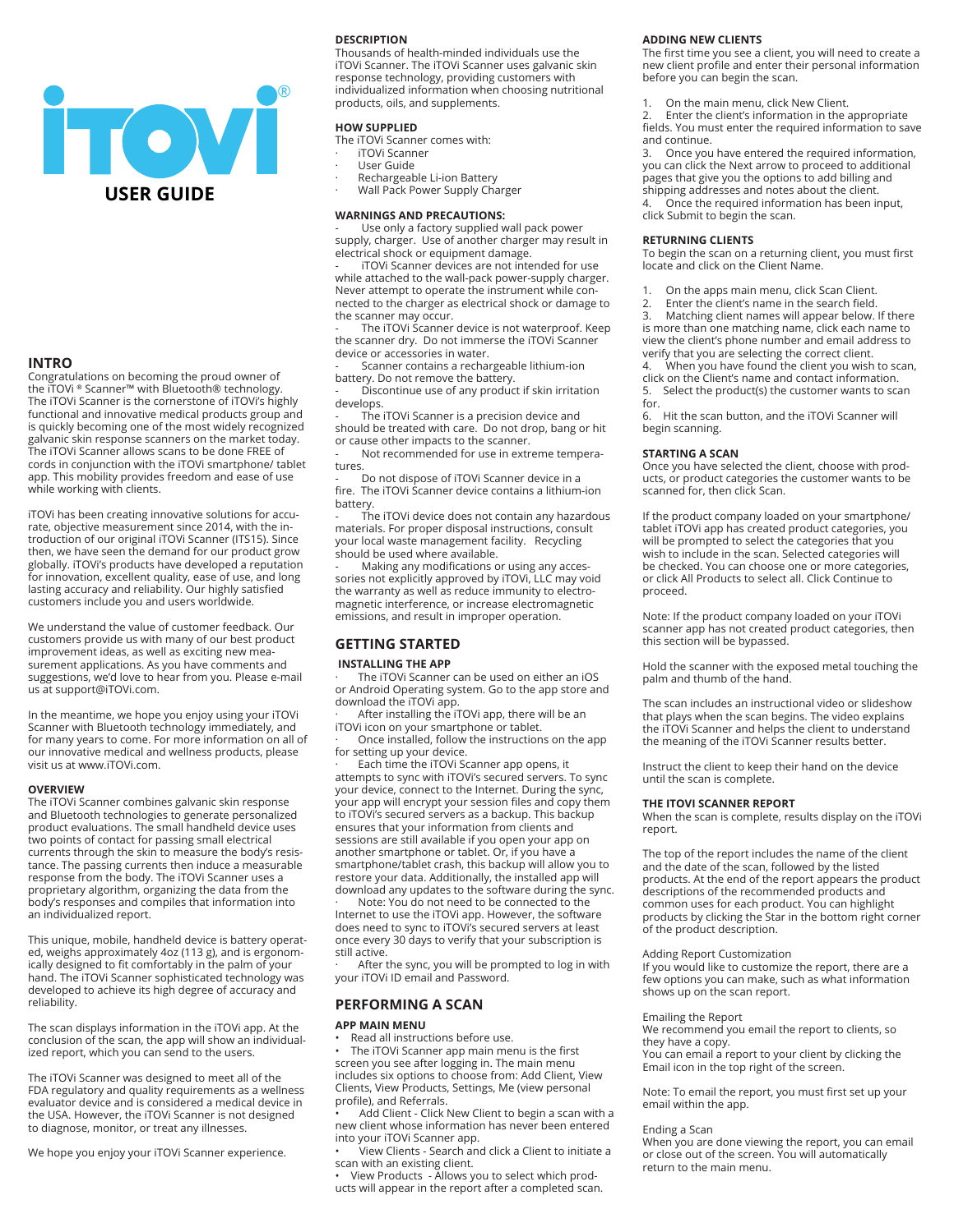

# **INTRO**

Congratulations on becoming the proud owner of the iTOVi ® Scanner™ with Bluetooth® technology. The iTOVi Scanner is the cornerstone of iTOVi's highly functional and innovative medical products group and is quickly becoming one of the most widely recognized galvanic skin response scanners on the market today. The iTOVi Scanner allows scans to be done FREE of cords in conjunction with the iTOVi smartphone/ tablet app. This mobility provides freedom and ease of use while working with clients.

iTOVi has been creating innovative solutions for accurate, objective measurement since 2014, with the introduction of our original iTOVi Scanner (ITS15). Since then, we have seen the demand for our product grow globally. iTOVi's products have developed a reputation for innovation, excellent quality, ease of use, and long lasting accuracy and reliability. Our highly satisfied customers include you and users worldwide.

We understand the value of customer feedback. Our customers provide us with many of our best product improvement ideas, as well as exciting new measurement applications. As you have comments and suggestions, we'd love to hear from you. Please e-mail us at support@iTOVi.com.

In the meantime, we hope you enjoy using your iTOVi Scanner with Bluetooth technology immediately, and for many years to come. For more information on all of our innovative medical and wellness products, please visit us at www.iTOVi.com.

## **OVERVIEW**

The iTOVi Scanner combines galvanic skin response and Bluetooth technologies to generate personalized product evaluations. The small handheld device uses two points of contact for passing small electrical currents through the skin to measure the body's resistance. The passing currents then induce a measurable response from the body. The iTOVi Scanner uses a proprietary algorithm, organizing the data from the body's responses and compiles that information into an individualized report.

This unique, mobile, handheld device is battery operated, weighs approximately 4oz (113 g), and is ergonomically designed to fit comfortably in the palm of your hand. The iTOVi Scanner sophisticated technology was developed to achieve its high degree of accuracy and reliability.

The scan displays information in the iTOVi app. At the conclusion of the scan, the app will show an individualized report, which you can send to the users.

The iTOVi Scanner was designed to meet all of the FDA regulatory and quality requirements as a wellness evaluator device and is considered a medical device in the USA. However, the iTOVi Scanner is not designed to diagnose, monitor, or treat any illnesses.

We hope you enjoy your iTOVi Scanner experience.

## **DESCRIPTION**

Thousands of health-minded individuals use the iTOVi Scanner. The iTOVi Scanner uses galvanic skin response technology, providing customers with individualized information when choosing nutritional products, oils, and supplements.

# **HOW SUPPLIED**

The iTOVi Scanner comes with:

- · iTOVi Scanner
- · User Guide
- Rechargeable Li-ion Battery
- · Wall Pack Power Supply Charger

#### **WARNINGS AND PRECAUTIONS:**

Use only a factory supplied wall pack power supply, charger. Use of another charger may result in electrical shock or equipment damage.

iTOVi Scanner devices are not intended for use while attached to the wall-pack power-supply charger. Never attempt to operate the instrument while connected to the charger as electrical shock or damage to the scanner may occur.

The iTOVi Scanner device is not waterproof. Keep the scanner dry. Do not immerse the iTOVi Scanner device or accessories in water.

Scanner contains a rechargeable lithium-ion battery. Do not remove the battery.

- Discontinue use of any product if skin irritation develops.

The iTOVi Scanner is a precision device and should be treated with care. Do not drop, bang or hit or cause other impacts to the scanner.

Not recommended for use in extreme temperatures

- Do not dispose of iTOVi Scanner device in a fire. The iTOVi Scanner device contains a lithium-ion battery.

The iTOVi device does not contain any hazardous materials. For proper disposal instructions, consult your local waste management facility. Recycling should be used where available.

Making any modifications or using any accessories not explicitly approved by iTOVi, LLC may void the warranty as well as reduce immunity to electromagnetic interference, or increase electromagnetic emissions, and result in improper operation.

# **GETTING STARTED**

## **INSTALLING THE APP**

The iTOVi Scanner can be used on either an iOS or Android Operating system. Go to the app store and download the iTOVi app.

After installing the iTOVi app, there will be an iTOVi icon on your smartphone or tablet.

· Once installed, follow the instructions on the app for setting up your device.

· Each time the iTOVi Scanner app opens, it attempts to sync with iTOVi's secured servers. To sync your device, connect to the Internet. During the sync, your app will encrypt your session files and copy them to iTOVi's secured servers as a backup. This backup ensures that your information from clients and sessions are still available if you open your app on another smartphone or tablet. Or, if you have a smartphone/tablet crash, this backup will allow you to restore your data. Additionally, the installed app will download any updates to the software during the sync.

Note: You do not need to be connected to the Internet to use the iTOVi app. However, the software does need to sync to iTOVi's secured servers at least once every 30 days to verify that your subscription is still active.

After the sync, you will be prompted to log in with your iTOVi ID email and Password.

# **PERFORMING A SCAN**

## **APP MAIN MENU**

Read all instructions before use.

The iTOVi Scanner app main menu is the first screen you see after logging in. The main menu includes six options to choose from: Add Client, View Clients, View Products, Settings, Me (view personal profile), and Referrals.

Add Client - Click New Client to begin a scan with a new client whose information has never been entered into your iTOVi Scanner app.

• View Clients - Search and click a Client to initiate a scan with an existing client.

• View Products - Allows you to select which products will appear in the report after a completed scan.

## **ADDING NEW CLIENTS**

The first time you see a client, you will need to create a new client profile and enter their personal information before you can begin the scan.

1. On the main menu, click New Client.

Enter the client's information in the appropriate fields. You must enter the required information to save and continue.

3. Once you have entered the required information, you can click the Next arrow to proceed to additional pages that give you the options to add billing and shipping addresses and notes about the client. 4. Once the required information has been input, click Submit to begin the scan.

# **RETURNING CLIENTS**

To begin the scan on a returning client, you must first locate and click on the Client Name.

- 
- 1. On the apps main menu, click Scan Client.<br>2. Enter the client's name in the search field. 2. Enter the client's name in the search field.<br>3. Matching client names will appear below.

Matching client names will appear below. If there is more than one matching name, click each name to view the client's phone number and email address to verify that you are selecting the correct client.<br>4. When you have found the client you wish

4. When you have found the client you wish to scan, click on the Client's name and contact information. 5. Select the product(s) the customer wants to scan for.

6. Hit the scan button, and the iTOVi Scanner will begin scanning.

### **STARTING A SCAN**

Once you have selected the client, choose with products, or product categories the customer wants to be scanned for, then click Scan.

If the product company loaded on your smartphone/ tablet iTOVi app has created product categories, you will be prompted to select the categories that you wish to include in the scan. Selected categories will be checked. You can choose one or more categories, or click All Products to select all. Click Continue to proceed.

Note: If the product company loaded on your iTOVi scanner app has not created product categories, then this section will be bypassed.

Hold the scanner with the exposed metal touching the palm and thumb of the hand.

The scan includes an instructional video or slideshow that plays when the scan begins. The video explains the iTOVi Scanner and helps the client to understand the meaning of the iTOVi Scanner results better.

Instruct the client to keep their hand on the device until the scan is complete.

#### **THE ITOVI SCANNER REPORT**

When the scan is complete, results display on the iTOVi report.

The top of the report includes the name of the client and the date of the scan, followed by the listed products. At the end of the report appears the product descriptions of the recommended products and common uses for each product. You can highlight products by clicking the Star in the bottom right corner of the product description.

#### Adding Report Customization

If you would like to customize the report, there are a few options you can make, such as what information shows up on the scan report.

#### Emailing the Report

We recommend you email the report to clients, so they have a copy.

You can email a report to your client by clicking the Email icon in the top right of the screen.

Note: To email the report, you must first set up your email within the app.

#### Ending a Scan

When you are done viewing the report, you can email or close out of the screen. You will automatically return to the main menu.